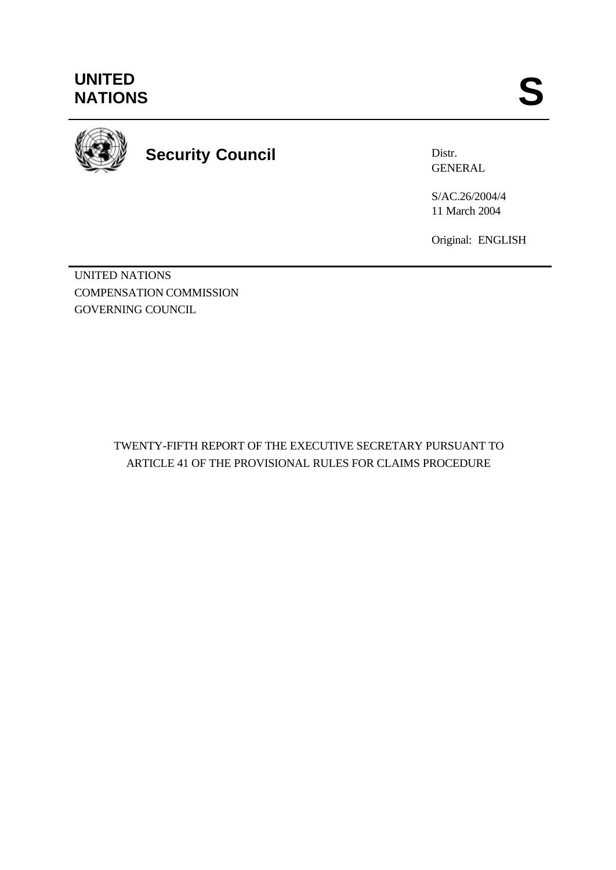

**Security Council**

Distr. GENERAL

S/AC.26/2004/4 11 March 2004

Original: ENGLISH

UNITED NATIONS COMPENSATION COMMISSION GOVERNING COUNCIL

> TWENTY-FIFTH REPORT OF THE EXECUTIVE SECRETARY PURSUANT TO ARTICLE 41 OF THE PROVISIONAL RULES FOR CLAIMS PROCEDURE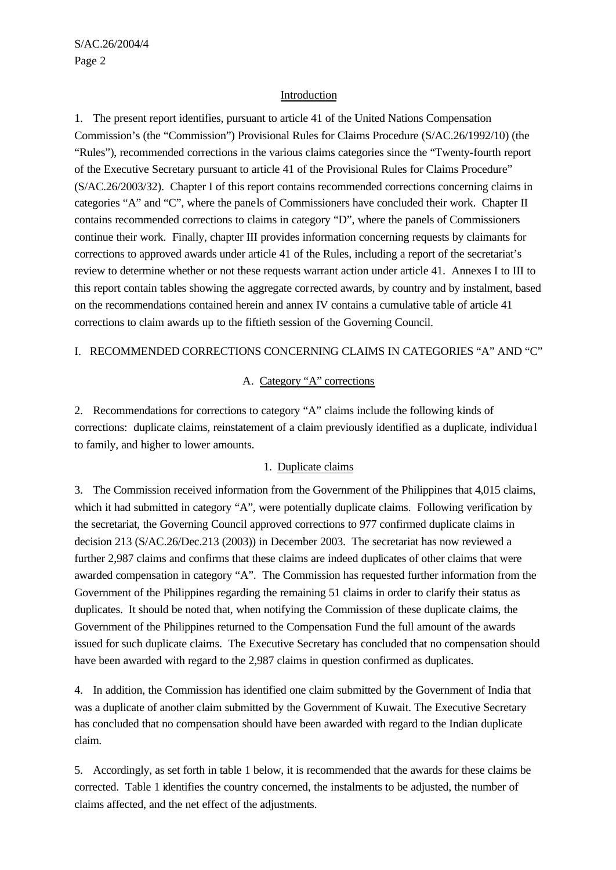#### Introduction

1. The present report identifies, pursuant to article 41 of the United Nations Compensation Commission's (the "Commission") Provisional Rules for Claims Procedure (S/AC.26/1992/10) (the "Rules"), recommended corrections in the various claims categories since the "Twenty-fourth report of the Executive Secretary pursuant to article 41 of the Provisional Rules for Claims Procedure" (S/AC.26/2003/32). Chapter I of this report contains recommended corrections concerning claims in categories "A" and "C", where the panels of Commissioners have concluded their work. Chapter II contains recommended corrections to claims in category "D", where the panels of Commissioners continue their work. Finally, chapter III provides information concerning requests by claimants for corrections to approved awards under article 41 of the Rules, including a report of the secretariat's review to determine whether or not these requests warrant action under article 41. Annexes I to III to this report contain tables showing the aggregate corrected awards, by country and by instalment, based on the recommendations contained herein and annex IV contains a cumulative table of article 41 corrections to claim awards up to the fiftieth session of the Governing Council.

#### I. RECOMMENDED CORRECTIONS CONCERNING CLAIMS IN CATEGORIES "A" AND "C"

#### A. Category "A" corrections

2. Recommendations for corrections to category "A" claims include the following kinds of corrections: duplicate claims, reinstatement of a claim previously identified as a duplicate, individua l to family, and higher to lower amounts.

#### 1. Duplicate claims

3. The Commission received information from the Government of the Philippines that 4,015 claims, which it had submitted in category "A", were potentially duplicate claims. Following verification by the secretariat, the Governing Council approved corrections to 977 confirmed duplicate claims in decision 213 (S/AC.26/Dec.213 (2003)) in December 2003. The secretariat has now reviewed a further 2,987 claims and confirms that these claims are indeed duplicates of other claims that were awarded compensation in category "A". The Commission has requested further information from the Government of the Philippines regarding the remaining 51 claims in order to clarify their status as duplicates. It should be noted that, when notifying the Commission of these duplicate claims, the Government of the Philippines returned to the Compensation Fund the full amount of the awards issued for such duplicate claims. The Executive Secretary has concluded that no compensation should have been awarded with regard to the 2,987 claims in question confirmed as duplicates.

4. In addition, the Commission has identified one claim submitted by the Government of India that was a duplicate of another claim submitted by the Government of Kuwait. The Executive Secretary has concluded that no compensation should have been awarded with regard to the Indian duplicate claim.

5. Accordingly, as set forth in table 1 below, it is recommended that the awards for these claims be corrected. Table 1 identifies the country concerned, the instalments to be adjusted, the number of claims affected, and the net effect of the adjustments.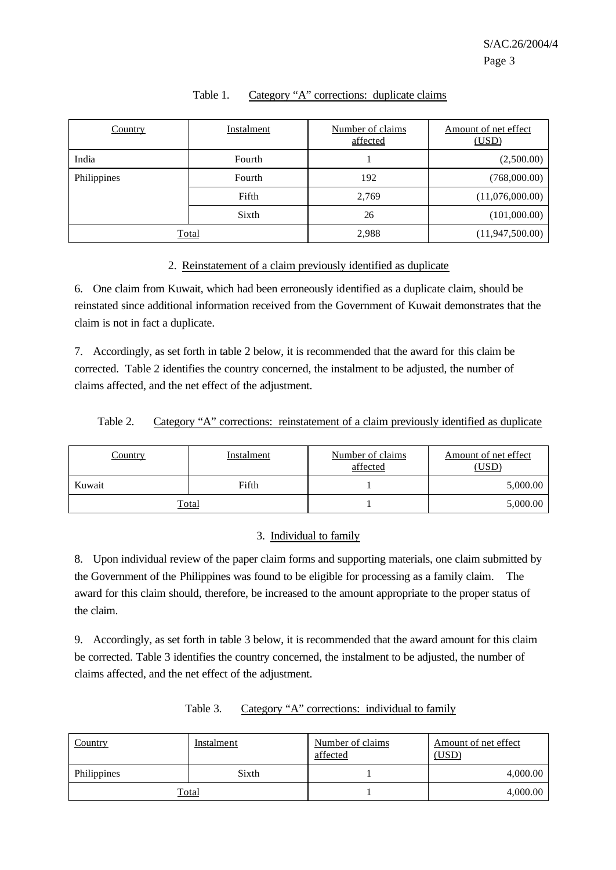| Country     | Instalment   | Number of claims<br>affected | Amount of net effect<br>(USD) |
|-------------|--------------|------------------------------|-------------------------------|
| India       | Fourth       |                              | (2,500.00)                    |
| Philippines | Fourth       | 192                          | (768,000.00)                  |
|             | Fifth        | 2,769                        | (11,076,000.00)               |
|             | Sixth        | 26                           | (101,000.00)                  |
|             | <b>Total</b> | 2,988                        | (11, 947, 500.00)             |

#### Table 1. Category "A" corrections: duplicate claims

#### 2. Reinstatement of a claim previously identified as duplicate

6. One claim from Kuwait, which had been erroneously identified as a duplicate claim, should be reinstated since additional information received from the Government of Kuwait demonstrates that the claim is not in fact a duplicate.

7. Accordingly, as set forth in table 2 below, it is recommended that the award for this claim be corrected. Table 2 identifies the country concerned, the instalment to be adjusted, the number of claims affected, and the net effect of the adjustment.

|  | Table 2. |  |  | Category "A" corrections: reinstatement of a claim previously identified as duplicate |  |  |  |  |
|--|----------|--|--|---------------------------------------------------------------------------------------|--|--|--|--|
|--|----------|--|--|---------------------------------------------------------------------------------------|--|--|--|--|

| <u>Country</u> | <b>Instalment</b> | Number of claims<br>affected | Amount of net effect<br>(USD) |
|----------------|-------------------|------------------------------|-------------------------------|
| Kuwait         | Fifth             |                              | 5,000.00                      |
|                | <b>Total</b>      |                              | 5,000.00                      |

#### 3. Individual to family

8. Upon individual review of the paper claim forms and supporting materials, one claim submitted by the Government of the Philippines was found to be eligible for processing as a family claim. The award for this claim should, therefore, be increased to the amount appropriate to the proper status of the claim.

9. Accordingly, as set forth in table 3 below, it is recommended that the award amount for this claim be corrected. Table 3 identifies the country concerned, the instalment to be adjusted, the number of claims affected, and the net effect of the adjustment.

| Country     | Instalment   | Number of claims<br>affected | Amount of net effect<br>(USD) |
|-------------|--------------|------------------------------|-------------------------------|
| Philippines | Sixth        |                              | 4,000.00                      |
|             | <b>Total</b> |                              | 4,000.00                      |

Table 3. Category "A" corrections: individual to family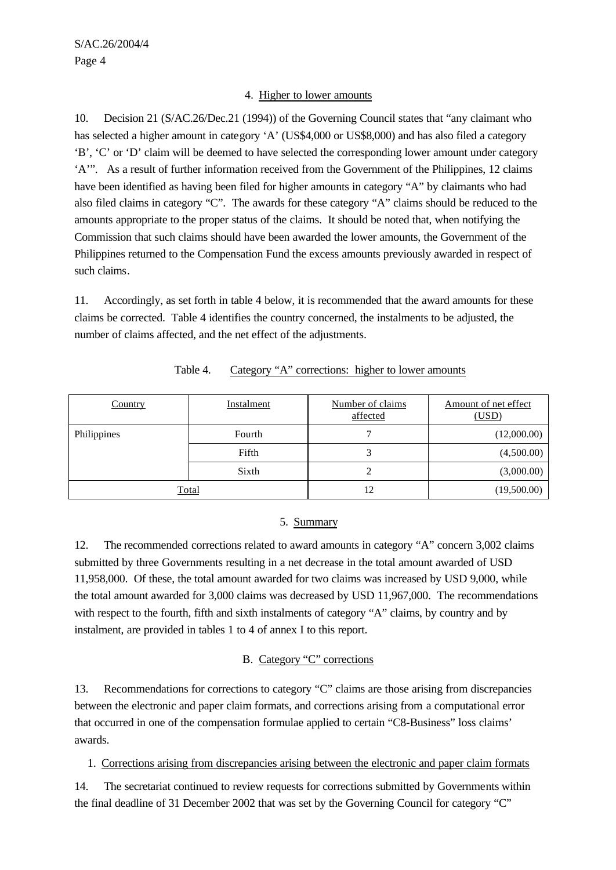#### 4. Higher to lower amounts

10. Decision 21 (S/AC.26/Dec.21 (1994)) of the Governing Council states that "any claimant who has selected a higher amount in category 'A' (US\$4,000 or US\$8,000) and has also filed a category 'B', 'C' or 'D' claim will be deemed to have selected the corresponding lower amount under category 'A'". As a result of further information received from the Government of the Philippines, 12 claims have been identified as having been filed for higher amounts in category "A" by claimants who had also filed claims in category "C". The awards for these category "A" claims should be reduced to the amounts appropriate to the proper status of the claims. It should be noted that, when notifying the Commission that such claims should have been awarded the lower amounts, the Government of the Philippines returned to the Compensation Fund the excess amounts previously awarded in respect of such claims.

11. Accordingly, as set forth in table 4 below, it is recommended that the award amounts for these claims be corrected. Table 4 identifies the country concerned, the instalments to be adjusted, the number of claims affected, and the net effect of the adjustments.

| <b>Country</b> | <b>Instalment</b> | Number of claims<br>affected | Amount of net effect<br>(USD) |
|----------------|-------------------|------------------------------|-------------------------------|
| Philippines    | Fourth            |                              | (12,000.00)                   |
|                | Fifth             |                              | (4,500.00)                    |
|                | Sixth             |                              | (3,000.00)                    |
|                | Total             | 12                           | (19,500.00)                   |

| Table 4. |  |  |  | Category "A" corrections: higher to lower amounts |
|----------|--|--|--|---------------------------------------------------|
|----------|--|--|--|---------------------------------------------------|

#### 5. Summary

12. The recommended corrections related to award amounts in category "A" concern 3,002 claims submitted by three Governments resulting in a net decrease in the total amount awarded of USD 11,958,000. Of these, the total amount awarded for two claims was increased by USD 9,000, while the total amount awarded for 3,000 claims was decreased by USD 11,967,000. The recommendations with respect to the fourth, fifth and sixth instalments of category "A" claims, by country and by instalment, are provided in tables 1 to 4 of annex I to this report.

#### B. Category "C" corrections

13. Recommendations for corrections to category "C" claims are those arising from discrepancies between the electronic and paper claim formats, and corrections arising from a computational error that occurred in one of the compensation formulae applied to certain "C8-Business" loss claims' awards.

1. Corrections arising from discrepancies arising between the electronic and paper claim formats

14. The secretariat continued to review requests for corrections submitted by Governments within the final deadline of 31 December 2002 that was set by the Governing Council for category "C"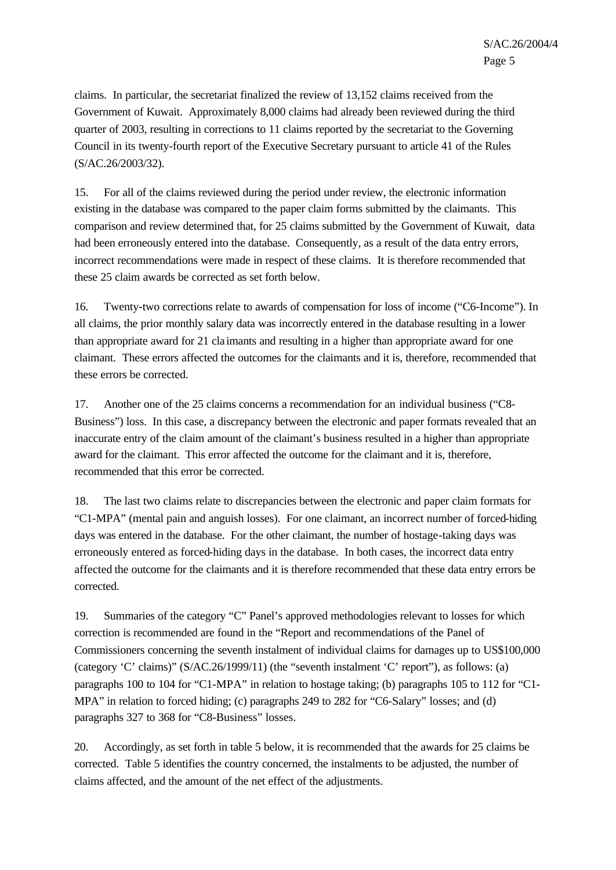claims. In particular, the secretariat finalized the review of 13,152 claims received from the Government of Kuwait. Approximately 8,000 claims had already been reviewed during the third quarter of 2003, resulting in corrections to 11 claims reported by the secretariat to the Governing Council in its twenty-fourth report of the Executive Secretary pursuant to article 41 of the Rules (S/AC.26/2003/32).

15. For all of the claims reviewed during the period under review, the electronic information existing in the database was compared to the paper claim forms submitted by the claimants. This comparison and review determined that, for 25 claims submitted by the Government of Kuwait, data had been erroneously entered into the database. Consequently, as a result of the data entry errors, incorrect recommendations were made in respect of these claims. It is therefore recommended that these 25 claim awards be corrected as set forth below.

16. Twenty-two corrections relate to awards of compensation for loss of income ("C6-Income"). In all claims, the prior monthly salary data was incorrectly entered in the database resulting in a lower than appropriate award for 21 cla imants and resulting in a higher than appropriate award for one claimant. These errors affected the outcomes for the claimants and it is, therefore, recommended that these errors be corrected.

17. Another one of the 25 claims concerns a recommendation for an individual business ("C8- Business") loss. In this case, a discrepancy between the electronic and paper formats revealed that an inaccurate entry of the claim amount of the claimant's business resulted in a higher than appropriate award for the claimant. This error affected the outcome for the claimant and it is, therefore, recommended that this error be corrected.

18. The last two claims relate to discrepancies between the electronic and paper claim formats for "C1-MPA" (mental pain and anguish losses). For one claimant, an incorrect number of forced-hiding days was entered in the database. For the other claimant, the number of hostage-taking days was erroneously entered as forced-hiding days in the database. In both cases, the incorrect data entry affected the outcome for the claimants and it is therefore recommended that these data entry errors be corrected.

19. Summaries of the category "C" Panel's approved methodologies relevant to losses for which correction is recommended are found in the "Report and recommendations of the Panel of Commissioners concerning the seventh instalment of individual claims for damages up to US\$100,000 (category 'C' claims)" (S/AC.26/1999/11) (the "seventh instalment 'C' report"), as follows: (a) paragraphs 100 to 104 for "C1-MPA" in relation to hostage taking; (b) paragraphs 105 to 112 for "C1- MPA" in relation to forced hiding; (c) paragraphs 249 to 282 for "C6-Salary" losses; and (d) paragraphs 327 to 368 for "C8-Business" losses.

20. Accordingly, as set forth in table 5 below, it is recommended that the awards for 25 claims be corrected. Table 5 identifies the country concerned, the instalments to be adjusted, the number of claims affected, and the amount of the net effect of the adjustments.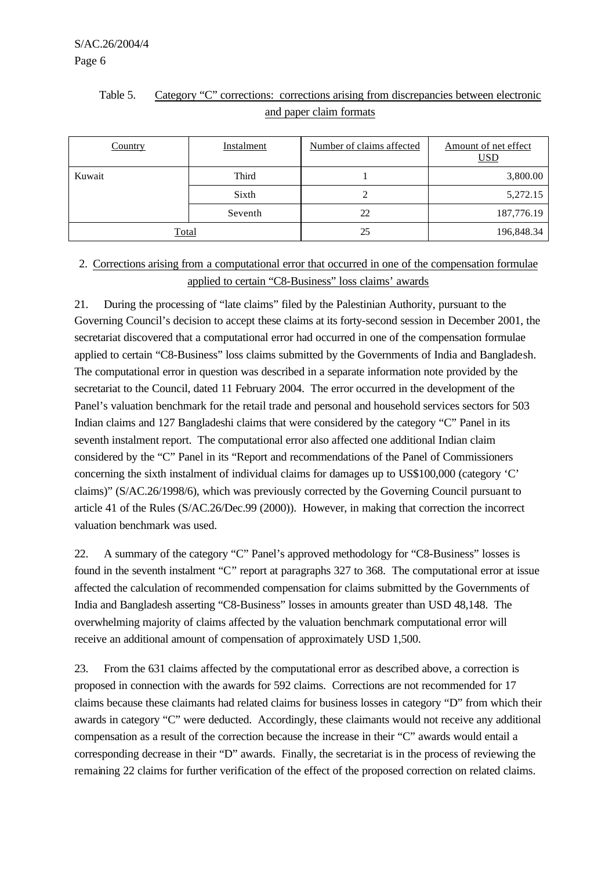| and paper claim formats |            |                           |                                    |  |  |
|-------------------------|------------|---------------------------|------------------------------------|--|--|
| Country                 | Instalment | Number of claims affected | Amount of net effect<br><u>USD</u> |  |  |
| Kuwait                  | Third      |                           | 3,800.00                           |  |  |
|                         | Sixth      |                           | 5,272.15                           |  |  |
|                         | Seventh    |                           | 187,776.19                         |  |  |

# Table 5. Category "C" corrections: corrections arising from discrepancies between electronic

### 2. Corrections arising from a computational error that occurred in one of the compensation formulae applied to certain "C8-Business" loss claims' awards

Total 196,848.34

21. During the processing of "late claims" filed by the Palestinian Authority, pursuant to the Governing Council's decision to accept these claims at its forty-second session in December 2001, the secretariat discovered that a computational error had occurred in one of the compensation formulae applied to certain "C8-Business" loss claims submitted by the Governments of India and Bangladesh. The computational error in question was described in a separate information note provided by the secretariat to the Council, dated 11 February 2004. The error occurred in the development of the Panel's valuation benchmark for the retail trade and personal and household services sectors for 503 Indian claims and 127 Bangladeshi claims that were considered by the category "C" Panel in its seventh instalment report. The computational error also affected one additional Indian claim considered by the "C" Panel in its "Report and recommendations of the Panel of Commissioners concerning the sixth instalment of individual claims for damages up to US\$100,000 (category 'C' claims)" (S/AC.26/1998/6), which was previously corrected by the Governing Council pursuant to article 41 of the Rules (S/AC.26/Dec.99 (2000)). However, in making that correction the incorrect valuation benchmark was used.

22. A summary of the category "C" Panel's approved methodology for "C8-Business" losses is found in the seventh instalment "C" report at paragraphs 327 to 368. The computational error at issue affected the calculation of recommended compensation for claims submitted by the Governments of India and Bangladesh asserting "C8-Business" losses in amounts greater than USD 48,148. The overwhelming majority of claims affected by the valuation benchmark computational error will receive an additional amount of compensation of approximately USD 1,500.

23. From the 631 claims affected by the computational error as described above, a correction is proposed in connection with the awards for 592 claims. Corrections are not recommended for 17 claims because these claimants had related claims for business losses in category "D" from which their awards in category "C" were deducted. Accordingly, these claimants would not receive any additional compensation as a result of the correction because the increase in their "C" awards would entail a corresponding decrease in their "D" awards. Finally, the secretariat is in the process of reviewing the remaining 22 claims for further verification of the effect of the proposed correction on related claims.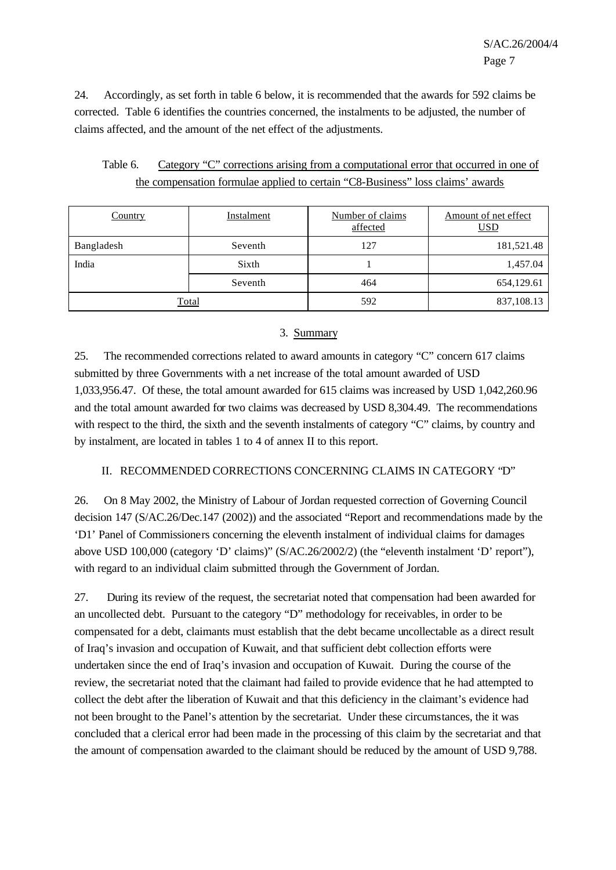24. Accordingly, as set forth in table 6 below, it is recommended that the awards for 592 claims be corrected. Table 6 identifies the countries concerned, the instalments to be adjusted, the number of claims affected, and the amount of the net effect of the adjustments.

| Table 6. | Category "C" corrections arising from a computational error that occurred in one of |
|----------|-------------------------------------------------------------------------------------|
|          | the compensation formulae applied to certain "C8-Business" loss claims' awards      |

| <b>Country</b> | <b>Instalment</b> | Number of claims<br>affected | Amount of net effect<br><u>USD</u> |
|----------------|-------------------|------------------------------|------------------------------------|
| Bangladesh     | Seventh           | 127                          | 181,521.48                         |
| India          | Sixth             |                              | 1,457.04                           |
|                | Seventh           | 464                          | 654,129.61                         |
| <b>Total</b>   |                   | 592                          | 837,108.13                         |

#### 3. Summary

25. The recommended corrections related to award amounts in category "C" concern 617 claims submitted by three Governments with a net increase of the total amount awarded of USD 1,033,956.47. Of these, the total amount awarded for 615 claims was increased by USD 1,042,260.96 and the total amount awarded for two claims was decreased by USD 8,304.49. The recommendations with respect to the third, the sixth and the seventh instalments of category "C" claims, by country and by instalment, are located in tables 1 to 4 of annex II to this report.

#### II. RECOMMENDED CORRECTIONS CONCERNING CLAIMS IN CATEGORY "D"

26. On 8 May 2002, the Ministry of Labour of Jordan requested correction of Governing Council decision 147 (S/AC.26/Dec.147 (2002)) and the associated "Report and recommendations made by the 'D1' Panel of Commissioners concerning the eleventh instalment of individual claims for damages above USD 100,000 (category 'D' claims)" (S/AC.26/2002/2) (the "eleventh instalment 'D' report"), with regard to an individual claim submitted through the Government of Jordan.

27. During its review of the request, the secretariat noted that compensation had been awarded for an uncollected debt. Pursuant to the category "D" methodology for receivables, in order to be compensated for a debt, claimants must establish that the debt became uncollectable as a direct result of Iraq's invasion and occupation of Kuwait, and that sufficient debt collection efforts were undertaken since the end of Iraq's invasion and occupation of Kuwait. During the course of the review, the secretariat noted that the claimant had failed to provide evidence that he had attempted to collect the debt after the liberation of Kuwait and that this deficiency in the claimant's evidence had not been brought to the Panel's attention by the secretariat. Under these circumstances, the it was concluded that a clerical error had been made in the processing of this claim by the secretariat and that the amount of compensation awarded to the claimant should be reduced by the amount of USD 9,788.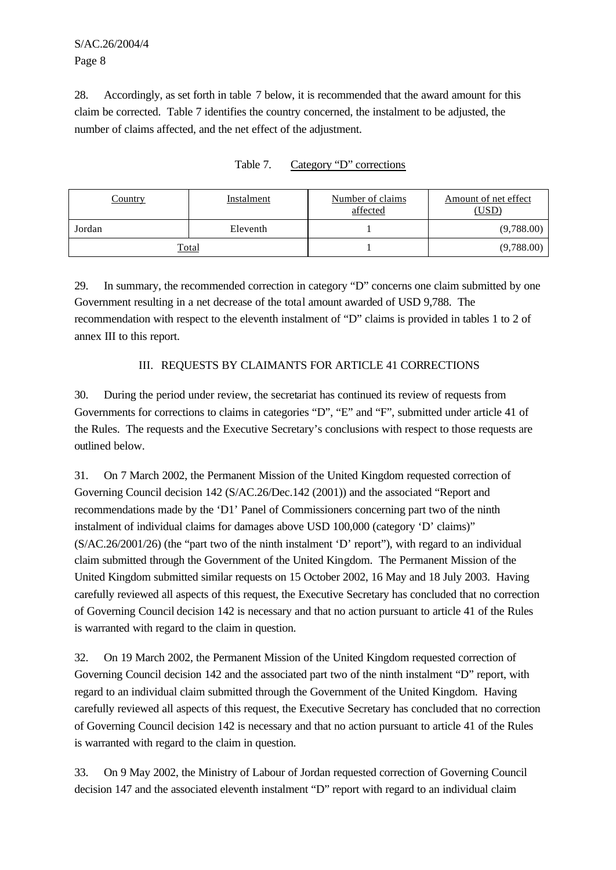# S/AC.26/2004/4 Page 8

28. Accordingly, as set forth in table 7 below, it is recommended that the award amount for this claim be corrected. Table 7 identifies the country concerned, the instalment to be adjusted, the number of claims affected, and the net effect of the adjustment.

| <u>Country</u> | Instalment   | Number of claims<br>affected | Amount of net effect<br>(USD) |
|----------------|--------------|------------------------------|-------------------------------|
| Jordan         | Eleventh     |                              | (9,788.00)                    |
|                | <u>Total</u> |                              | (9,788.00)                    |

| Table 7. | Category "D" corrections |  |
|----------|--------------------------|--|
|          |                          |  |

29. In summary, the recommended correction in category "D" concerns one claim submitted by one Government resulting in a net decrease of the total amount awarded of USD 9,788. The recommendation with respect to the eleventh instalment of "D" claims is provided in tables 1 to 2 of annex III to this report.

#### III. REQUESTS BY CLAIMANTS FOR ARTICLE 41 CORRECTIONS

30. During the period under review, the secretariat has continued its review of requests from Governments for corrections to claims in categories "D", "E" and "F", submitted under article 41 of the Rules. The requests and the Executive Secretary's conclusions with respect to those requests are outlined below.

31. On 7 March 2002, the Permanent Mission of the United Kingdom requested correction of Governing Council decision 142 (S/AC.26/Dec.142 (2001)) and the associated "Report and recommendations made by the 'D1' Panel of Commissioners concerning part two of the ninth instalment of individual claims for damages above USD 100,000 (category 'D' claims)" (S/AC.26/2001/26) (the "part two of the ninth instalment 'D' report"), with regard to an individual claim submitted through the Government of the United Kingdom. The Permanent Mission of the United Kingdom submitted similar requests on 15 October 2002, 16 May and 18 July 2003. Having carefully reviewed all aspects of this request, the Executive Secretary has concluded that no correction of Governing Council decision 142 is necessary and that no action pursuant to article 41 of the Rules is warranted with regard to the claim in question.

32. On 19 March 2002, the Permanent Mission of the United Kingdom requested correction of Governing Council decision 142 and the associated part two of the ninth instalment "D" report, with regard to an individual claim submitted through the Government of the United Kingdom. Having carefully reviewed all aspects of this request, the Executive Secretary has concluded that no correction of Governing Council decision 142 is necessary and that no action pursuant to article 41 of the Rules is warranted with regard to the claim in question.

33. On 9 May 2002, the Ministry of Labour of Jordan requested correction of Governing Council decision 147 and the associated eleventh instalment "D" report with regard to an individual claim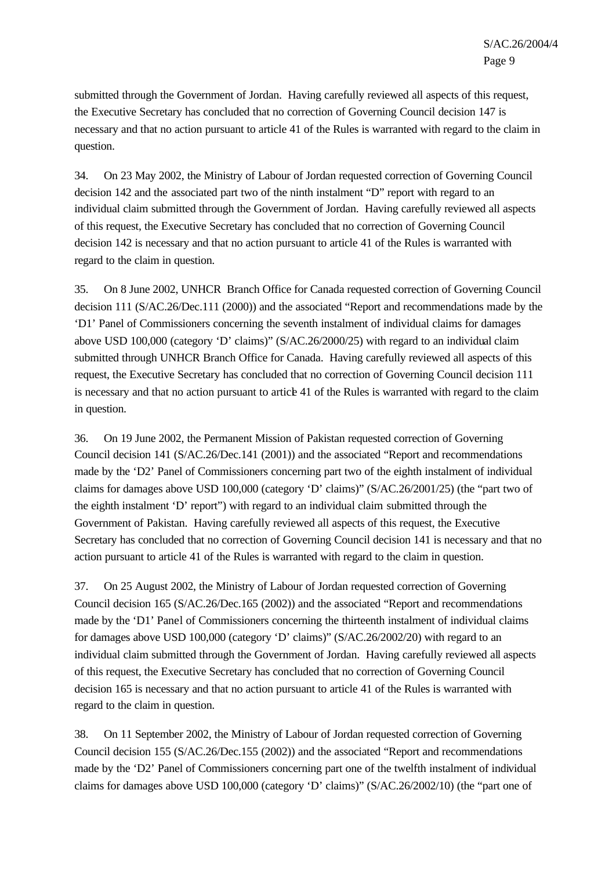submitted through the Government of Jordan. Having carefully reviewed all aspects of this request, the Executive Secretary has concluded that no correction of Governing Council decision 147 is necessary and that no action pursuant to article 41 of the Rules is warranted with regard to the claim in question.

34. On 23 May 2002, the Ministry of Labour of Jordan requested correction of Governing Council decision 142 and the associated part two of the ninth instalment "D" report with regard to an individual claim submitted through the Government of Jordan. Having carefully reviewed all aspects of this request, the Executive Secretary has concluded that no correction of Governing Council decision 142 is necessary and that no action pursuant to article 41 of the Rules is warranted with regard to the claim in question.

35. On 8 June 2002, UNHCR Branch Office for Canada requested correction of Governing Council decision 111 (S/AC.26/Dec.111 (2000)) and the associated "Report and recommendations made by the 'D1' Panel of Commissioners concerning the seventh instalment of individual claims for damages above USD 100,000 (category 'D' claims)" (S/AC.26/2000/25) with regard to an individual claim submitted through UNHCR Branch Office for Canada. Having carefully reviewed all aspects of this request, the Executive Secretary has concluded that no correction of Governing Council decision 111 is necessary and that no action pursuant to article 41 of the Rules is warranted with regard to the claim in question.

36. On 19 June 2002, the Permanent Mission of Pakistan requested correction of Governing Council decision 141 (S/AC.26/Dec.141 (2001)) and the associated "Report and recommendations made by the 'D2' Panel of Commissioners concerning part two of the eighth instalment of individual claims for damages above USD 100,000 (category 'D' claims)" (S/AC.26/2001/25) (the "part two of the eighth instalment 'D' report") with regard to an individual claim submitted through the Government of Pakistan. Having carefully reviewed all aspects of this request, the Executive Secretary has concluded that no correction of Governing Council decision 141 is necessary and that no action pursuant to article 41 of the Rules is warranted with regard to the claim in question.

37. On 25 August 2002, the Ministry of Labour of Jordan requested correction of Governing Council decision 165 (S/AC.26/Dec.165 (2002)) and the associated "Report and recommendations made by the 'D1' Panel of Commissioners concerning the thirteenth instalment of individual claims for damages above USD 100,000 (category 'D' claims)" (S/AC.26/2002/20) with regard to an individual claim submitted through the Government of Jordan. Having carefully reviewed all aspects of this request, the Executive Secretary has concluded that no correction of Governing Council decision 165 is necessary and that no action pursuant to article 41 of the Rules is warranted with regard to the claim in question.

38. On 11 September 2002, the Ministry of Labour of Jordan requested correction of Governing Council decision 155 (S/AC.26/Dec.155 (2002)) and the associated "Report and recommendations made by the 'D2' Panel of Commissioners concerning part one of the twelfth instalment of individual claims for damages above USD 100,000 (category 'D' claims)" (S/AC.26/2002/10) (the "part one of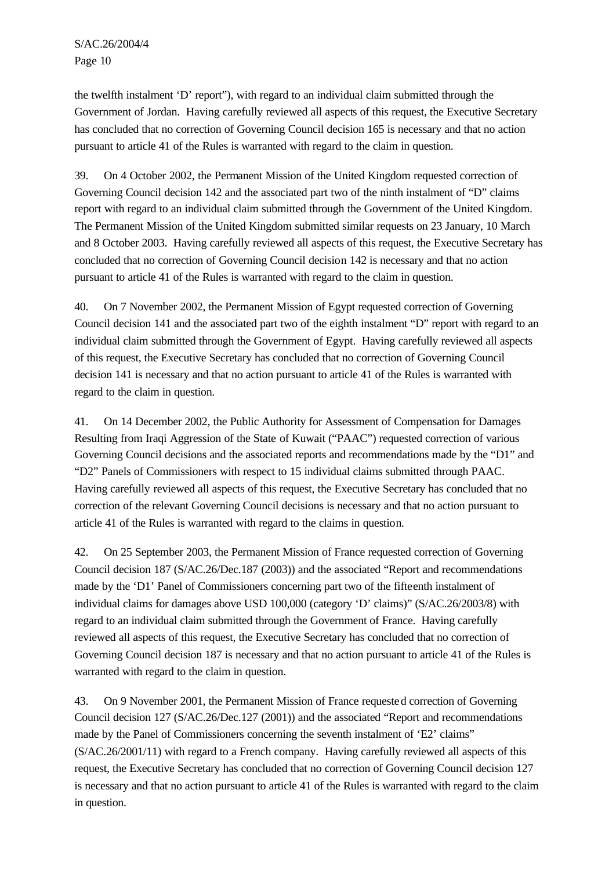the twelfth instalment 'D' report"), with regard to an individual claim submitted through the Government of Jordan. Having carefully reviewed all aspects of this request, the Executive Secretary has concluded that no correction of Governing Council decision 165 is necessary and that no action pursuant to article 41 of the Rules is warranted with regard to the claim in question.

39. On 4 October 2002, the Permanent Mission of the United Kingdom requested correction of Governing Council decision 142 and the associated part two of the ninth instalment of "D" claims report with regard to an individual claim submitted through the Government of the United Kingdom. The Permanent Mission of the United Kingdom submitted similar requests on 23 January, 10 March and 8 October 2003. Having carefully reviewed all aspects of this request, the Executive Secretary has concluded that no correction of Governing Council decision 142 is necessary and that no action pursuant to article 41 of the Rules is warranted with regard to the claim in question.

40. On 7 November 2002, the Permanent Mission of Egypt requested correction of Governing Council decision 141 and the associated part two of the eighth instalment "D" report with regard to an individual claim submitted through the Government of Egypt. Having carefully reviewed all aspects of this request, the Executive Secretary has concluded that no correction of Governing Council decision 141 is necessary and that no action pursuant to article 41 of the Rules is warranted with regard to the claim in question.

41. On 14 December 2002, the Public Authority for Assessment of Compensation for Damages Resulting from Iraqi Aggression of the State of Kuwait ("PAAC") requested correction of various Governing Council decisions and the associated reports and recommendations made by the "D1" and "D2" Panels of Commissioners with respect to 15 individual claims submitted through PAAC. Having carefully reviewed all aspects of this request, the Executive Secretary has concluded that no correction of the relevant Governing Council decisions is necessary and that no action pursuant to article 41 of the Rules is warranted with regard to the claims in question.

42. On 25 September 2003, the Permanent Mission of France requested correction of Governing Council decision 187 (S/AC.26/Dec.187 (2003)) and the associated "Report and recommendations made by the 'D1' Panel of Commissioners concerning part two of the fifteenth instalment of individual claims for damages above USD 100,000 (category 'D' claims)" (S/AC.26/2003/8) with regard to an individual claim submitted through the Government of France. Having carefully reviewed all aspects of this request, the Executive Secretary has concluded that no correction of Governing Council decision 187 is necessary and that no action pursuant to article 41 of the Rules is warranted with regard to the claim in question.

43. On 9 November 2001, the Permanent Mission of France requested correction of Governing Council decision 127 (S/AC.26/Dec.127 (2001)) and the associated "Report and recommendations made by the Panel of Commissioners concerning the seventh instalment of 'E2' claims" (S/AC.26/2001/11) with regard to a French company. Having carefully reviewed all aspects of this request, the Executive Secretary has concluded that no correction of Governing Council decision 127 is necessary and that no action pursuant to article 41 of the Rules is warranted with regard to the claim in question.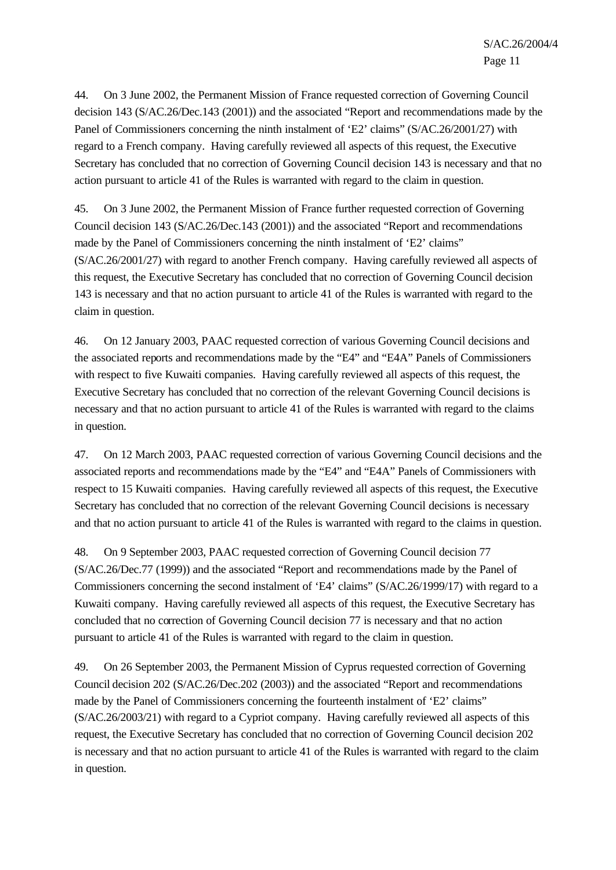44. On 3 June 2002, the Permanent Mission of France requested correction of Governing Council decision 143 (S/AC.26/Dec.143 (2001)) and the associated "Report and recommendations made by the Panel of Commissioners concerning the ninth instalment of 'E2' claims" (S/AC.26/2001/27) with regard to a French company. Having carefully reviewed all aspects of this request, the Executive Secretary has concluded that no correction of Governing Council decision 143 is necessary and that no action pursuant to article 41 of the Rules is warranted with regard to the claim in question.

45. On 3 June 2002, the Permanent Mission of France further requested correction of Governing Council decision 143 (S/AC.26/Dec.143 (2001)) and the associated "Report and recommendations made by the Panel of Commissioners concerning the ninth instalment of 'E2' claims" (S/AC.26/2001/27) with regard to another French company. Having carefully reviewed all aspects of this request, the Executive Secretary has concluded that no correction of Governing Council decision 143 is necessary and that no action pursuant to article 41 of the Rules is warranted with regard to the claim in question.

46. On 12 January 2003, PAAC requested correction of various Governing Council decisions and the associated reports and recommendations made by the "E4" and "E4A" Panels of Commissioners with respect to five Kuwaiti companies. Having carefully reviewed all aspects of this request, the Executive Secretary has concluded that no correction of the relevant Governing Council decisions is necessary and that no action pursuant to article 41 of the Rules is warranted with regard to the claims in question.

47. On 12 March 2003, PAAC requested correction of various Governing Council decisions and the associated reports and recommendations made by the "E4" and "E4A" Panels of Commissioners with respect to 15 Kuwaiti companies. Having carefully reviewed all aspects of this request, the Executive Secretary has concluded that no correction of the relevant Governing Council decisions is necessary and that no action pursuant to article 41 of the Rules is warranted with regard to the claims in question.

48. On 9 September 2003, PAAC requested correction of Governing Council decision 77 (S/AC.26/Dec.77 (1999)) and the associated "Report and recommendations made by the Panel of Commissioners concerning the second instalment of 'E4' claims" (S/AC.26/1999/17) with regard to a Kuwaiti company. Having carefully reviewed all aspects of this request, the Executive Secretary has concluded that no correction of Governing Council decision 77 is necessary and that no action pursuant to article 41 of the Rules is warranted with regard to the claim in question.

49. On 26 September 2003, the Permanent Mission of Cyprus requested correction of Governing Council decision 202 (S/AC.26/Dec.202 (2003)) and the associated "Report and recommendations made by the Panel of Commissioners concerning the fourteenth instalment of 'E2' claims" (S/AC.26/2003/21) with regard to a Cypriot company. Having carefully reviewed all aspects of this request, the Executive Secretary has concluded that no correction of Governing Council decision 202 is necessary and that no action pursuant to article 41 of the Rules is warranted with regard to the claim in question.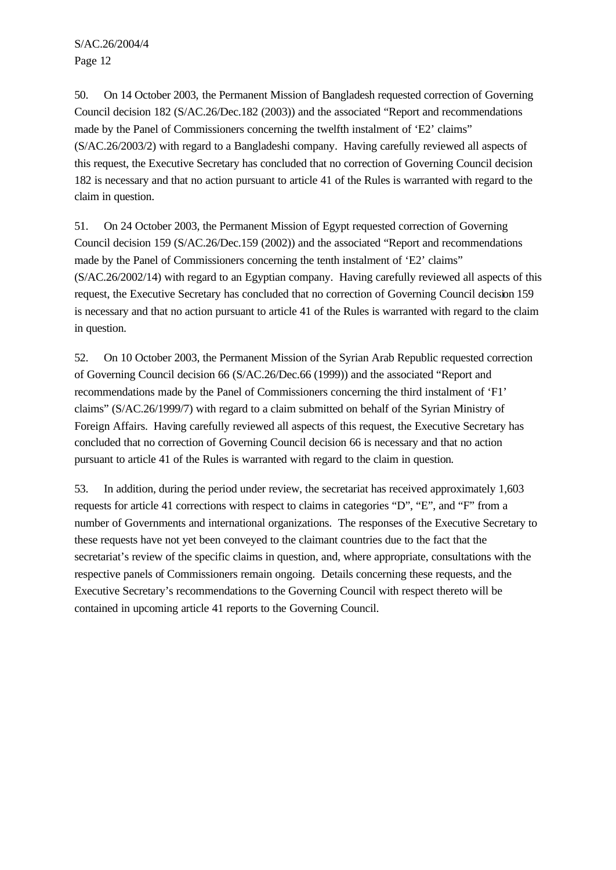S/AC.26/2004/4 Page 12

50. On 14 October 2003, the Permanent Mission of Bangladesh requested correction of Governing Council decision 182 (S/AC.26/Dec.182 (2003)) and the associated "Report and recommendations made by the Panel of Commissioners concerning the twelfth instalment of 'E2' claims" (S/AC.26/2003/2) with regard to a Bangladeshi company. Having carefully reviewed all aspects of this request, the Executive Secretary has concluded that no correction of Governing Council decision 182 is necessary and that no action pursuant to article 41 of the Rules is warranted with regard to the claim in question.

51. On 24 October 2003, the Permanent Mission of Egypt requested correction of Governing Council decision 159 (S/AC.26/Dec.159 (2002)) and the associated "Report and recommendations made by the Panel of Commissioners concerning the tenth instalment of 'E2' claims" (S/AC.26/2002/14) with regard to an Egyptian company. Having carefully reviewed all aspects of this request, the Executive Secretary has concluded that no correction of Governing Council decision 159 is necessary and that no action pursuant to article 41 of the Rules is warranted with regard to the claim in question.

52. On 10 October 2003, the Permanent Mission of the Syrian Arab Republic requested correction of Governing Council decision 66 (S/AC.26/Dec.66 (1999)) and the associated "Report and recommendations made by the Panel of Commissioners concerning the third instalment of 'F1' claims" (S/AC.26/1999/7) with regard to a claim submitted on behalf of the Syrian Ministry of Foreign Affairs. Having carefully reviewed all aspects of this request, the Executive Secretary has concluded that no correction of Governing Council decision 66 is necessary and that no action pursuant to article 41 of the Rules is warranted with regard to the claim in question.

53. In addition, during the period under review, the secretariat has received approximately 1,603 requests for article 41 corrections with respect to claims in categories "D", "E", and "F" from a number of Governments and international organizations. The responses of the Executive Secretary to these requests have not yet been conveyed to the claimant countries due to the fact that the secretariat's review of the specific claims in question, and, where appropriate, consultations with the respective panels of Commissioners remain ongoing. Details concerning these requests, and the Executive Secretary's recommendations to the Governing Council with respect thereto will be contained in upcoming article 41 reports to the Governing Council.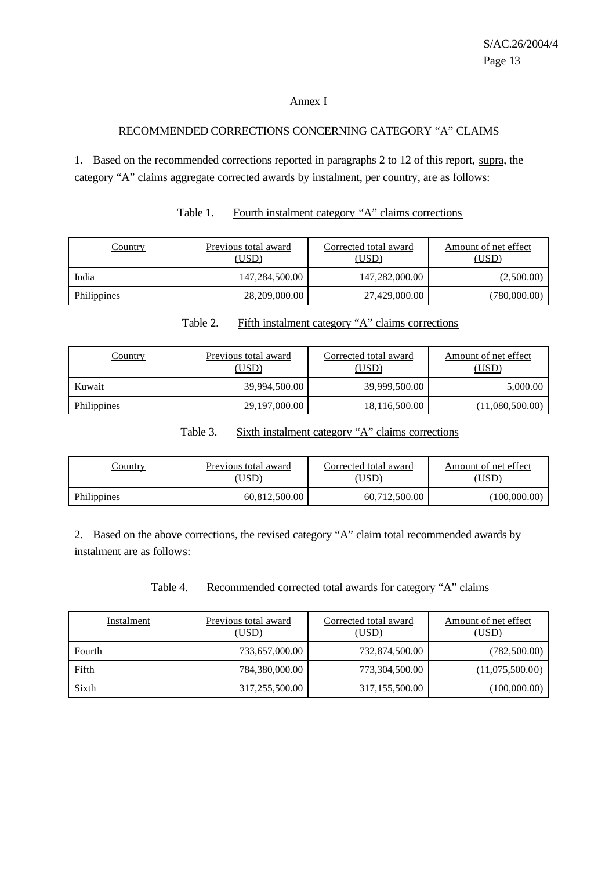#### Annex I

#### RECOMMENDED CORRECTIONS CONCERNING CATEGORY "A" CLAIMS

1. Based on the recommended corrections reported in paragraphs 2 to 12 of this report, supra, the category "A" claims aggregate corrected awards by instalment, per country, are as follows:

| <u>Country</u> | Previous total award<br>(USD) | Corrected total award<br>(USD) | Amount of net effect<br>(USD) |
|----------------|-------------------------------|--------------------------------|-------------------------------|
| India          | 147,284,500.00                | 147,282,000.00                 | (2,500.00)                    |
| Philippines    | 28,209,000.00                 | 27,429,000.00                  | (780,000.00)                  |

Table 1. Fourth instalment category "A" claims corrections

| <b>Country</b> | Previous total award<br>(USD) | Corrected total award<br>(USD) | Amount of net effect<br>(USD) |  |
|----------------|-------------------------------|--------------------------------|-------------------------------|--|
| Kuwait         | 39,994,500.00                 | 39,999,500.00                  | 5,000.00                      |  |
| Philippines    | 29,197,000.00                 | 18,116,500.00                  | (11,080,500.00)               |  |

# Table 2. Fifth instalment category "A" claims corrections

Table 3. Sixth instalment category "A" claims corrections

| Country     | Previous total award | Corrected total award | Amount of net effect |  |
|-------------|----------------------|-----------------------|----------------------|--|
|             | USD)                 | <u>USD</u>            | [USD]                |  |
| Philippines | 60.812.500.00        | 60,712,500.00         | (100,000.00)         |  |

2. Based on the above corrections, the revised category "A" claim total recommended awards by instalment are as follows:

Table 4. Recommended corrected total awards for category "A" claims

| Instalment | Previous total award<br>(USD) | Corrected total award<br>(USD) | Amount of net effect<br>(USD) |
|------------|-------------------------------|--------------------------------|-------------------------------|
| Fourth     | 733,657,000.00                | 732,874,500.00                 | (782,500.00)                  |
| Fifth      | 784,380,000.00                | 773,304,500.00                 | (11,075,500.00)               |
| Sixth      | 317,255,500.00                | 317,155,500.00                 | (100,000.00)                  |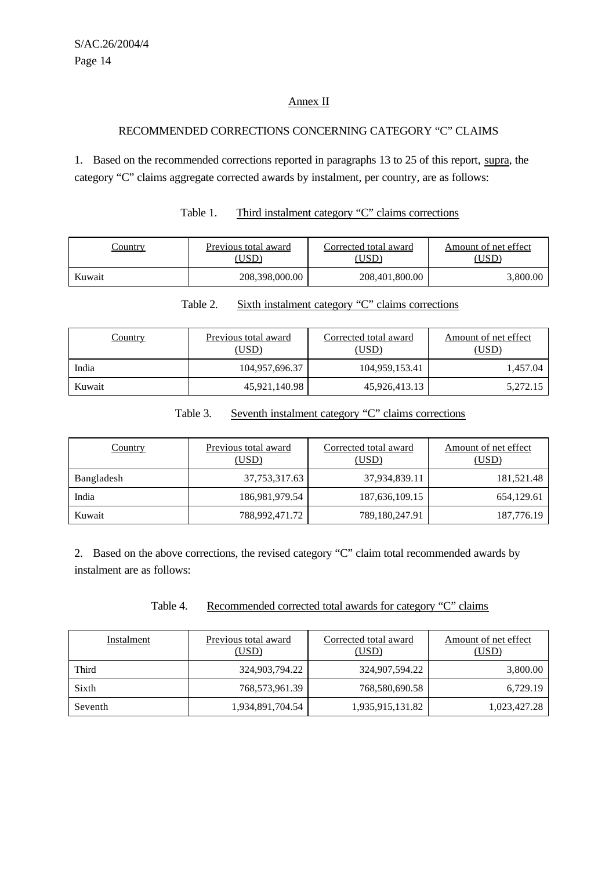#### Annex II

#### RECOMMENDED CORRECTIONS CONCERNING CATEGORY "C" CLAIMS

1. Based on the recommended corrections reported in paragraphs 13 to 25 of this report, supra, the category "C" claims aggregate corrected awards by instalment, per country, are as follows:

| <u>Country</u> | Previous total award<br>(USD | Corrected total award<br>USD | Amount of net effect<br>USD |
|----------------|------------------------------|------------------------------|-----------------------------|
| Kuwait         | 208,398,000.00               | 208,401,800.00               | 3,800.00                    |

| Table 1. | Third instalment category "C" claims corrections |  |
|----------|--------------------------------------------------|--|
|          |                                                  |  |

| Table 2. |  |  | Sixth instalment category "C" claims corrections |
|----------|--|--|--------------------------------------------------|
|          |  |  |                                                  |

| <u>Country</u> | Previous total award<br>(USD) | Corrected total award<br>(USD) | Amount of net effect<br>(USD) |  |
|----------------|-------------------------------|--------------------------------|-------------------------------|--|
| India          | 104,957,696.37                | 104,959,153.41                 | 1,457.04                      |  |
| Kuwait         | 45,921,140.98                 | 45,926,413.13                  | 5,272.15                      |  |

#### Table 3. Seventh instalment category "C" claims corrections

| <b>Country</b> | Previous total award<br>(USD) | Corrected total award<br>(USD) | Amount of net effect<br>(USD) |  |  |
|----------------|-------------------------------|--------------------------------|-------------------------------|--|--|
| Bangladesh     | 37,753,317.63                 | 37,934,839.11                  | 181,521.48                    |  |  |
| India          | 186,981,979.54                | 187,636,109.15                 | 654,129.61                    |  |  |
| Kuwait         | 788,992,471.72                | 789,180,247.91                 | 187,776.19                    |  |  |

2. Based on the above corrections, the revised category "C" claim total recommended awards by instalment are as follows:

Table 4. Recommended corrected total awards for category "C" claims

| Instalment | Previous total award<br>(USD) | Corrected total award<br>(USD) | Amount of net effect<br><u>(USD)</u> |
|------------|-------------------------------|--------------------------------|--------------------------------------|
| Third      | 324,903,794.22                | 324,907,594.22                 | 3,800.00                             |
| Sixth      | 768,573,961.39                | 768,580,690.58                 | 6,729.19                             |
| Seventh    | 1,934,891,704.54              | 1,935,915,131.82               | 1,023,427.28                         |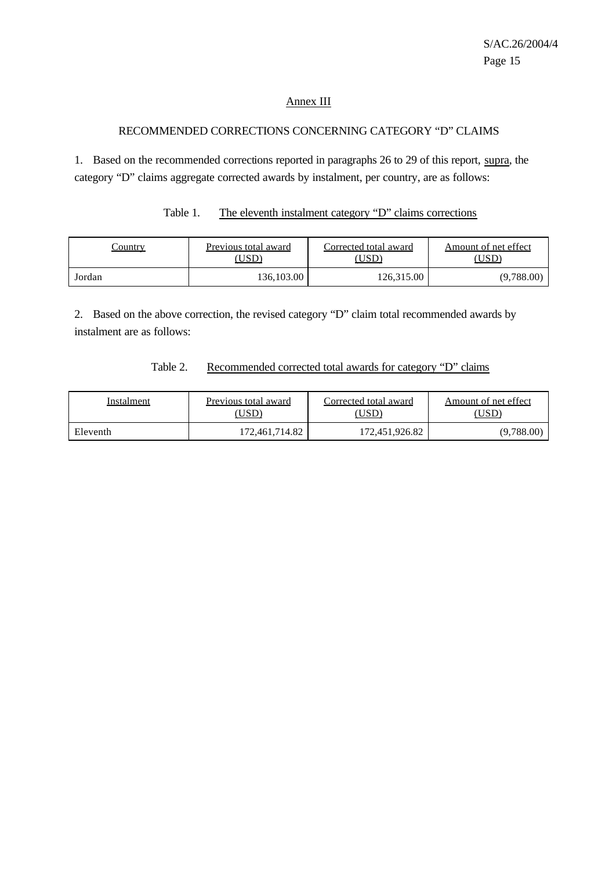#### Annex III

#### RECOMMENDED CORRECTIONS CONCERNING CATEGORY "D" CLAIMS

1. Based on the recommended corrections reported in paragraphs 26 to 29 of this report, supra, the category "D" claims aggregate corrected awards by instalment, per country, are as follows:

# Table 1. The eleventh instalment category "D" claims corrections

| .`ountrv | Previous total award | Corrected total award | Amount of net effect |  |
|----------|----------------------|-----------------------|----------------------|--|
|          | 'USD                 | USD                   | USD                  |  |
| Jordan   | 136,103.00           | 126.315.00            | (9,788.00)           |  |

2. Based on the above correction, the revised category "D" claim total recommended awards by instalment are as follows:

#### Table 2. Recommended corrected total awards for category "D" claims

| Instalment | Previous total award | Corrected total award | Amount of net effect |  |  |
|------------|----------------------|-----------------------|----------------------|--|--|
|            | USD).                | USD`                  | USD)                 |  |  |
| Eleventh   | 172,461,714.82       | 172,451,926.82        | (9,788.00)           |  |  |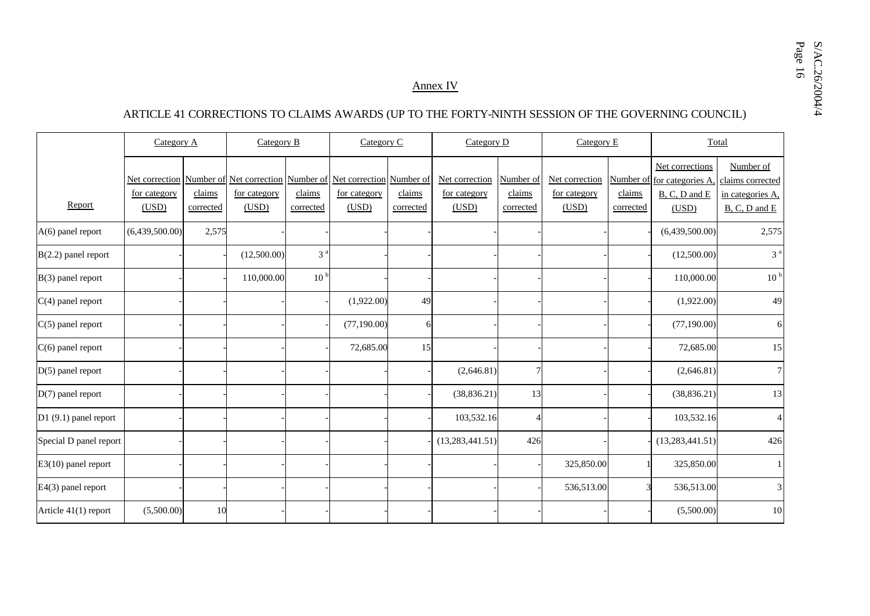#### Annex IV

#### ARTICLE 41 CORRECTIONS TO CLAIMS AWARDS (UP TO THE FORTY-NINTH SESSION OF THE GOVERNING COUNCIL)

|                        | Category A                              |                     | Category B                                                                           |                     | Category C            |                     | Category D                              |                                  | Category E                              |                     | Total                                                                   |                                                                    |
|------------------------|-----------------------------------------|---------------------|--------------------------------------------------------------------------------------|---------------------|-----------------------|---------------------|-----------------------------------------|----------------------------------|-----------------------------------------|---------------------|-------------------------------------------------------------------------|--------------------------------------------------------------------|
| Report                 | Net correction<br>for category<br>(USD) | claims<br>corrected | Number of Net correction Number of Net correction Number of<br>for category<br>(USD) | claims<br>corrected | for category<br>(USD) | claims<br>corrected | Net correction<br>for category<br>(USD) | Number of<br>claims<br>corrected | Net correction<br>for category<br>(USD) | claims<br>corrected | Net corrections<br>Number of for categories A<br>B, C, D and E<br>(USD) | Number of<br>claims corrected<br>in categories A.<br>B, C, D and E |
| $A(6)$ panel report    | (6,439,500.00)                          | 2,575               |                                                                                      |                     |                       |                     |                                         |                                  |                                         |                     | (6,439,500.00)                                                          | 2,575                                                              |
| $B(2.2)$ panel report  |                                         |                     | (12,500.00)                                                                          | 3 <sup>a</sup>      |                       |                     |                                         |                                  |                                         |                     | (12,500.00)                                                             | 3 <sup>a</sup>                                                     |
| B(3) panel report      |                                         |                     | 110,000.00                                                                           | 10 <sup>b</sup>     |                       |                     |                                         |                                  |                                         |                     | 110,000.00                                                              | 10 <sup>b</sup>                                                    |
| $C(4)$ panel report    |                                         |                     |                                                                                      |                     | (1,922.00)            | 49                  |                                         |                                  |                                         |                     | (1,922.00)                                                              | 49                                                                 |
| $C(5)$ panel report    |                                         |                     |                                                                                      |                     | (77, 190.00)          | 6                   |                                         |                                  |                                         |                     | (77, 190.00)                                                            | 6                                                                  |
| $C(6)$ panel report    |                                         |                     |                                                                                      |                     | 72,685.00             | 15                  |                                         |                                  |                                         |                     | 72,685.00                                                               | 15                                                                 |
| $D(5)$ panel report    |                                         |                     |                                                                                      |                     |                       |                     | (2,646.81)                              | 7                                |                                         |                     | (2,646.81)                                                              | $\overline{7}$                                                     |
| $D(7)$ panel report    |                                         |                     |                                                                                      |                     |                       |                     | (38, 836.21)                            | 13                               |                                         |                     | (38, 836.21)                                                            | 13                                                                 |
| $D1(9.1)$ panel report |                                         |                     |                                                                                      |                     |                       |                     | 103,532.16                              | $\overline{\mathcal{A}}$         |                                         |                     | 103,532.16                                                              | $\overline{4}$                                                     |
| Special D panel report |                                         |                     |                                                                                      |                     |                       |                     | (13, 283, 441.51)                       | 426                              |                                         |                     | (13, 283, 441.51)                                                       | 426                                                                |
| $E3(10)$ panel report  |                                         |                     |                                                                                      |                     |                       |                     |                                         |                                  | 325,850.00                              |                     | 325,850.00                                                              |                                                                    |
| E4(3) panel report     |                                         |                     |                                                                                      |                     |                       |                     |                                         |                                  | 536,513.00                              |                     | 536,513.00                                                              | $\ensuremath{\mathfrak{Z}}$                                        |
| Article 41(1) report   | (5,500.00)                              | 10                  |                                                                                      |                     |                       |                     |                                         |                                  |                                         |                     | (5,500.00)                                                              | 10                                                                 |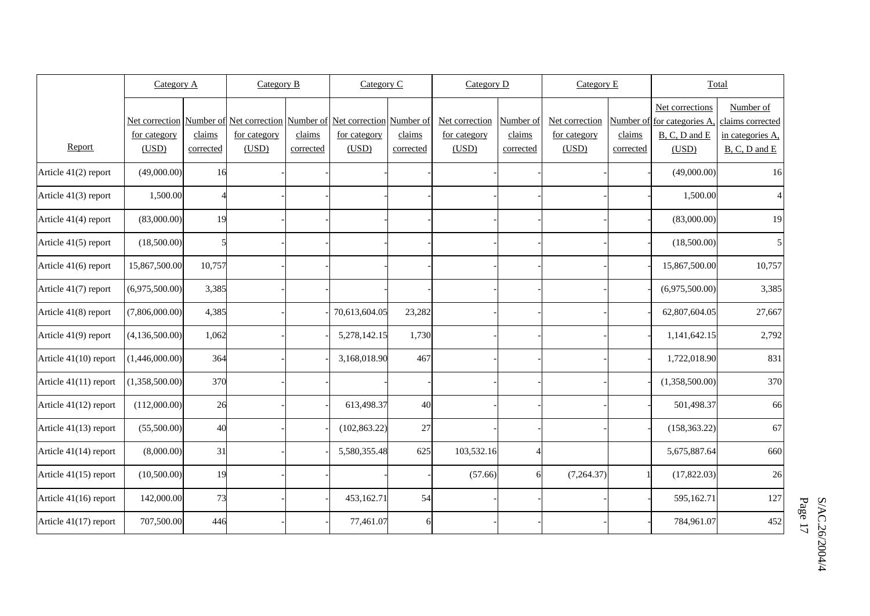|                       | Category A          |           | Category B                                                                 |           | Category C    |           | Category D     |                | Category E     |           | Total                      |                   |
|-----------------------|---------------------|-----------|----------------------------------------------------------------------------|-----------|---------------|-----------|----------------|----------------|----------------|-----------|----------------------------|-------------------|
|                       |                     |           |                                                                            |           |               |           |                |                |                |           | Net corrections            | Number of         |
|                       |                     |           | Net correction Number of Net correction Number of Net correction Number of |           |               |           | Net correction | Number of      | Net correction |           | Number of for categories A | claims corrected  |
|                       | <u>for category</u> | claims    | for category                                                               | claims    | for category  | claims    | for category   | claims         | for category   | claims    | $B, C, D$ and $E$          | in categories A,  |
| Report                | (USD)               | corrected | (USD)                                                                      | corrected | (USD)         | corrected | (USD)          | corrected      | (USD)          | corrected | (USD)                      | $B, C, D$ and $E$ |
| Article 41(2) report  | (49,000.00)         | 16        |                                                                            |           |               |           |                |                |                |           | (49,000.00)                | 16                |
| Article 41(3) report  | 1,500.00            |           |                                                                            |           |               |           |                |                |                |           | 1,500.00                   | $\overline{4}$    |
| Article 41(4) report  | (83,000.00)         | 19        |                                                                            |           |               |           |                |                |                |           | (83,000.00)                | 19                |
| Article 41(5) report  | (18,500.00)         |           |                                                                            |           |               |           |                |                |                |           | (18,500.00)                | 5                 |
| Article 41(6) report  | 15,867,500.00       | 10,757    |                                                                            |           |               |           |                |                |                |           | 15,867,500.00              | 10,757            |
| Article 41(7) report  | (6,975,500.00)      | 3,385     |                                                                            |           |               |           |                |                |                |           | (6,975,500.00)             | 3,385             |
| Article 41(8) report  | (7,806,000.00)      | 4,385     |                                                                            |           | 70,613,604.05 | 23,282    |                |                |                |           | 62,807,604.05              | 27,667            |
| Article 41(9) report  | (4,136,500.00)      | 1,062     |                                                                            |           | 5,278,142.15  | 1,730     |                |                |                |           | 1,141,642.15               | 2,792             |
| Article 41(10) report | (1,446,000.00)      | 364       |                                                                            |           | 3,168,018.90  | 467       |                |                |                |           | 1,722,018.90               | 831               |
| Article 41(11) report | (1,358,500.00)      | 370       |                                                                            |           |               |           |                |                |                |           | (1,358,500.00)             | 370               |
| Article 41(12) report | (112,000.00)        | 26        |                                                                            |           | 613,498.37    | 40        |                |                |                |           | 501,498.37                 | 66                |
| Article 41(13) report | (55,500.00)         | 40        |                                                                            |           | (102, 863.22) | 27        |                |                |                |           | (158, 363.22)              | 67                |
| Article 41(14) report | (8,000.00)          | 31        |                                                                            |           | 5,580,355.48  | 625       | 103,532.16     | $\overline{4}$ |                |           | 5,675,887.64               | 660               |
| Article 41(15) report | (10,500.00)         | 19        |                                                                            |           |               |           | (57.66)        | 6              | (7,264.37)     |           | (17,822.03)                | 26                |
| Article 41(16) report | 142,000.00          | 73        |                                                                            |           | 453,162.71    | 54        |                |                |                |           | 595,162.71                 | 127               |
| Article 41(17) report | 707,500.00          | 446       |                                                                            |           | 77,461.07     | 6         |                |                |                |           | 784,961.07                 | 452               |

S/AC.26/2004/4 Page S/AC.26/2004/4 17